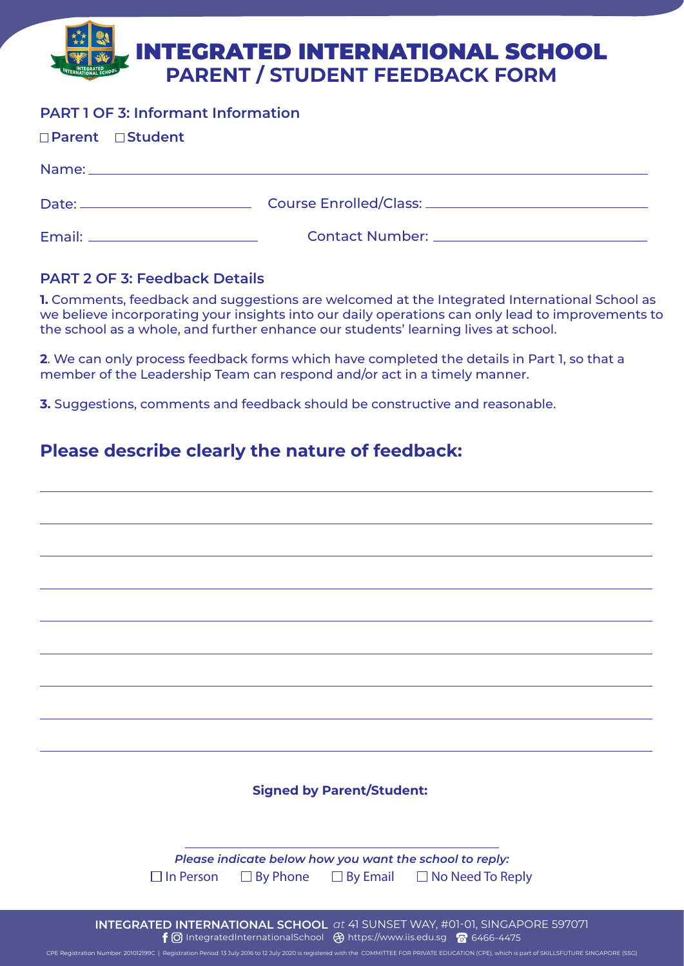# **PARENT / STUDENT FEEDBACK FORM** INTEGRATED INTERNATIONAL SCHOOL

## **PART 1 OF 3: Informant Information**

| □Parent □Student                 |                                                   |
|----------------------------------|---------------------------------------------------|
|                                  |                                                   |
|                                  |                                                   |
| Email: _________________________ | Contact Number: <u>__________________________</u> |

### **PART 2 OF 3: Feedback Details**

**1.** Comments, feedback and suggestions are welcomed at the Integrated International School as we believe incorporating your insights into our daily operations can only lead to improvements to the school as a whole, and further enhance our students' learning lives at school.

**2**. We can only process feedback forms which have completed the details in Part 1, so that a member of the Leadership Team can respond and/or act in a timely manner.

**3.** Suggestions, comments and feedback should be constructive and reasonable.

# **Please describe clearly the nature of feedback:**

| <b>Signed by Parent/Student:</b>                                                                      |  |  |  |  |
|-------------------------------------------------------------------------------------------------------|--|--|--|--|
|                                                                                                       |  |  |  |  |
|                                                                                                       |  |  |  |  |
|                                                                                                       |  |  |  |  |
| Please indicate below how you want the school to reply:                                               |  |  |  |  |
| $\Box$ By Phone $\Box$ By Email $\Box$ No Need To Reply<br>$\Box$ In Person                           |  |  |  |  |
|                                                                                                       |  |  |  |  |
|                                                                                                       |  |  |  |  |
| INTEGRATED INTERNATIONAL SCHOOL at 41 SUNSET WAY, #01-01, SINGAPORE 597071                            |  |  |  |  |
| $\bigoplus$ Integrated International School $\bigoplus$ https://www.jis.edu.sg $\bigotimes$ 6466-4475 |  |  |  |  |